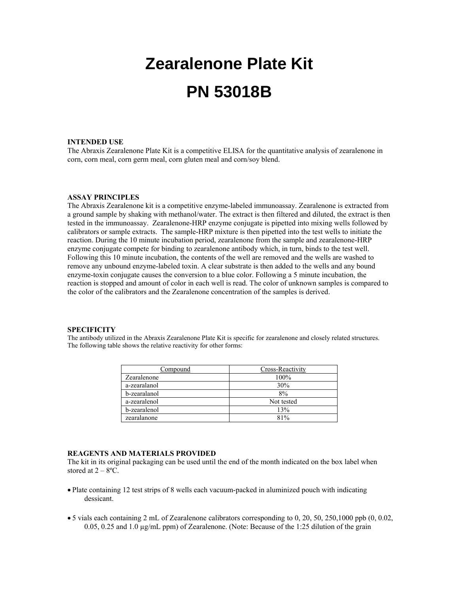# **Zearalenone Plate Kit PN 53018B**

#### **INTENDED USE**

The Abraxis Zearalenone Plate Kit is a competitive ELISA for the quantitative analysis of zearalenone in corn, corn meal, corn germ meal, corn gluten meal and corn/soy blend.

#### **ASSAY PRINCIPLES**

The Abraxis Zearalenone kit is a competitive enzyme-labeled immunoassay. Zearalenone is extracted from a ground sample by shaking with methanol/water. The extract is then filtered and diluted, the extract is then tested in the immunoassay. Zearalenone-HRP enzyme conjugate is pipetted into mixing wells followed by calibrators or sample extracts. The sample-HRP mixture is then pipetted into the test wells to initiate the reaction. During the 10 minute incubation period, zearalenone from the sample and zearalenone-HRP enzyme conjugate compete for binding to zearalenone antibody which, in turn, binds to the test well. Following this 10 minute incubation, the contents of the well are removed and the wells are washed to remove any unbound enzyme-labeled toxin. A clear substrate is then added to the wells and any bound enzyme-toxin conjugate causes the conversion to a blue color. Following a 5 minute incubation, the reaction is stopped and amount of color in each well is read. The color of unknown samples is compared to the color of the calibrators and the Zearalenone concentration of the samples is derived.

# **SPECIFICITY**

The antibody utilized in the Abraxis Zearalenone Plate Kit is specific for zearalenone and closely related structures. The following table shows the relative reactivity for other forms:

| Compound     | Cross-Reactivity |
|--------------|------------------|
| Zearalenone  | 100%             |
| a-zearalanol | 30%              |
| b-zearalanol | 8%               |
| a-zearalenol | Not tested       |
| b-zearalenol | 13%              |
| zearalanone  | 81%              |

# **REAGENTS AND MATERIALS PROVIDED**

The kit in its original packaging can be used until the end of the month indicated on the box label when stored at  $2 - 8$ <sup>o</sup>C.

- Plate containing 12 test strips of 8 wells each vacuum-packed in aluminized pouch with indicating dessicant.
- 5 vials each containing 2 mL of Zearalenone calibrators corresponding to 0, 20, 50, 250,1000 ppb (0, 0.02, 0.05, 0.25 and 1.0 µg/mL ppm) of Zearalenone. (Note: Because of the 1:25 dilution of the grain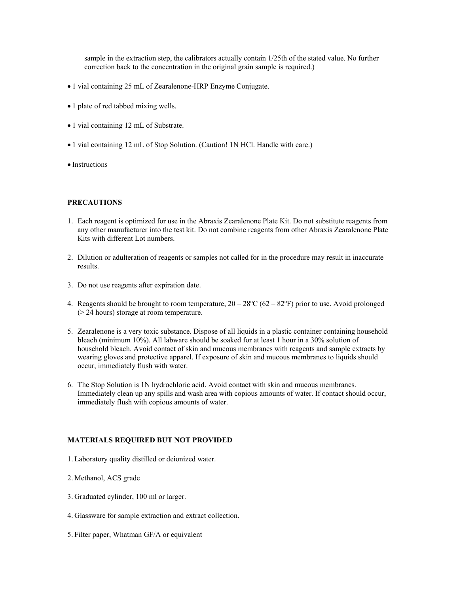sample in the extraction step, the calibrators actually contain 1/25th of the stated value. No further correction back to the concentration in the original grain sample is required.)

- 1 vial containing 25 mL of Zearalenone-HRP Enzyme Conjugate.
- 1 plate of red tabbed mixing wells.
- 1 vial containing 12 mL of Substrate.
- 1 vial containing 12 mL of Stop Solution. (Caution! 1N HCl. Handle with care.)
- Instructions

## **PRECAUTIONS**

- 1. Each reagent is optimized for use in the Abraxis Zearalenone Plate Kit. Do not substitute reagents from any other manufacturer into the test kit. Do not combine reagents from other Abraxis Zearalenone Plate Kits with different Lot numbers.
- 2. Dilution or adulteration of reagents or samples not called for in the procedure may result in inaccurate results.
- 3. Do not use reagents after expiration date.
- 4. Reagents should be brought to room temperature,  $20 28$ °C (62 82°F) prior to use. Avoid prolonged (> 24 hours) storage at room temperature.
- 5. Zearalenone is a very toxic substance. Dispose of all liquids in a plastic container containing household bleach (minimum 10%). All labware should be soaked for at least 1 hour in a 30% solution of household bleach. Avoid contact of skin and mucous membranes with reagents and sample extracts by wearing gloves and protective apparel. If exposure of skin and mucous membranes to liquids should occur, immediately flush with water.
- 6. The Stop Solution is 1N hydrochloric acid. Avoid contact with skin and mucous membranes. Immediately clean up any spills and wash area with copious amounts of water. If contact should occur, immediately flush with copious amounts of water.

# **MATERIALS REQUIRED BUT NOT PROVIDED**

- 1. Laboratory quality distilled or deionized water.
- 2. Methanol, ACS grade
- 3. Graduated cylinder, 100 ml or larger.
- 4. Glassware for sample extraction and extract collection.
- 5. Filter paper, Whatman GF/A or equivalent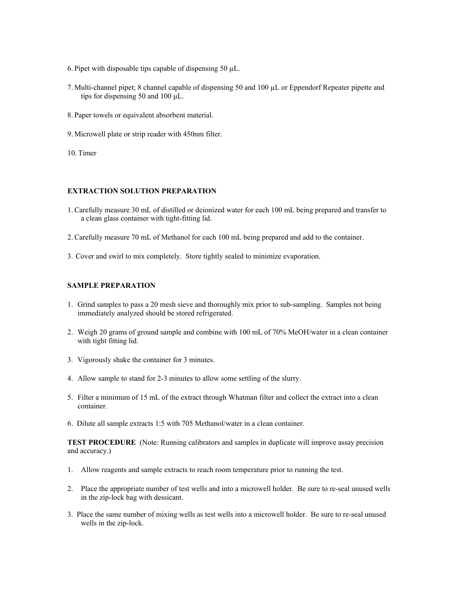- 6. Pipet with disposable tips capable of dispensing 50  $\mu$ L.
- 7. Multi-channel pipet; 8 channel capable of dispensing 50 and 100 µL or Eppendorf Repeater pipette and tips for dispensing 50 and 100 μL.
- 8. Paper towels or equivalent absorbent material.
- 9. Microwell plate or strip reader with 450nm filter.
- 10. Timer

#### **EXTRACTION SOLUTION PREPARATION**

- 1. Carefully measure 30 mL of distilled or deionized water for each 100 mL being prepared and transfer to a clean glass container with tight-fitting lid.
- 2. Carefully measure 70 mL of Methanol for each 100 mL being prepared and add to the container.
- 3. Cover and swirl to mix completely. Store tightly sealed to minimize evaporation.

#### **SAMPLE PREPARATION**

- 1. Grind samples to pass a 20 mesh sieve and thoroughly mix prior to sub-sampling. Samples not being immediately analyzed should be stored refrigerated.
- 2. Weigh 20 grams of ground sample and combine with 100 mL of 70% MeOH/water in a clean container with tight fitting lid.
- 3. Vigorously shake the container for 3 minutes.
- 4. Allow sample to stand for 2-3 minutes to allow some settling of the slurry.
- 5. Filter a minimum of 15 mL of the extract through Whatman filter and collect the extract into a clean container.
- 6. Dilute all sample extracts 1:5 with 705 Methanol/water in a clean container.

**TEST PROCEDURE** (Note: Running calibrators and samples in duplicate will improve assay precision and accuracy.)

- 1. Allow reagents and sample extracts to reach room temperature prior to running the test.
- 2. Place the appropriate number of test wells and into a microwell holder. Be sure to re-seal unused wells in the zip-lock bag with dessicant.
- 3. Place the same number of mixing wells as test wells into a microwell holder. Be sure to re-seal unused wells in the zip-lock.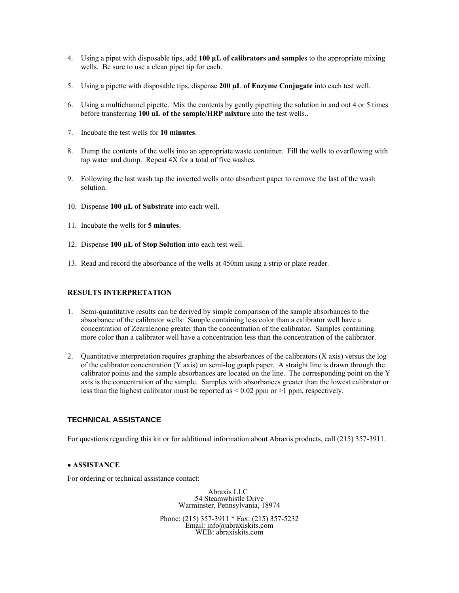- 4. Using a pipet with disposable tips, add **100 μL of calibrators and samples** to the appropriate mixing wells. Be sure to use a clean pipet tip for each.
- 5. Using a pipette with disposable tips, dispense **200 µL of Enzyme Conjugate** into each test well.
- 6. Using a multichannel pipette. Mix the contents by gently pipetting the solution in and out 4 or 5 times before transferring **100 uL of the sample/HRP mixture** into the test wells..
- 7. Incubate the test wells for **10 minutes**.
- 8. Dump the contents of the wells into an appropriate waste container. Fill the wells to overflowing with tap water and dump. Repeat 4X for a total of five washes.
- 9. Following the last wash tap the inverted wells onto absorbent paper to remove the last of the wash solution.
- 10. Dispense **100 µL of Substrate** into each well.
- 11. Incubate the wells for **5 minutes**.
- 12. Dispense **100 µL of Stop Solution** into each test well.
- 13. Read and record the absorbance of the wells at 450nm using a strip or plate reader.

## **RESULTS INTERPRETATION**

- 1. Semi-quantitative results can be derived by simple comparison of the sample absorbances to the absorbance of the calibrator wells: Sample containing less color than a calibrator well have a concentration of Zearalenone greater than the concentration of the calibrator. Samples containing more color than a calibrator well have a concentration less than the concentration of the calibrator.
- 2. Quantitative interpretation requires graphing the absorbances of the calibrators (X axis) versus the log of the calibrator concentration (Y axis) on semi-log graph paper. A straight line is drawn through the calibrator points and the sample absorbances are located on the line. The corresponding point on the Y axis is the concentration of the sample. Samples with absorbances greater than the lowest calibrator or less than the highest calibrator must be reported as < 0.02 ppm or >1 ppm, respectively.

# **TECHNICAL ASSISTANCE**

For questions regarding this kit or for additional information about Abraxis products, call (215) 357-3911.

### • **ASSISTANCE**

For ordering or technical assistance contact:

 Abraxis LLC 54 Steamwhistle Drive Warminster, Pennsylvania, 18974

Phone: (215) 357-3911 \* Fax: (215) 357-5232 Email: info@abraxiskits.com WEB: abraxiskits.com